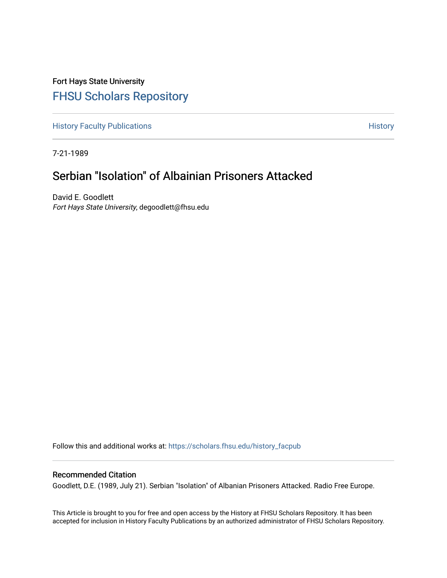Fort Hays State University [FHSU Scholars Repository](https://scholars.fhsu.edu/) 

[History Faculty Publications](https://scholars.fhsu.edu/history_facpub) **History** History

7-21-1989

# Serbian "Isolation" of Albainian Prisoners Attacked

David E. Goodlett Fort Hays State University, degoodlett@fhsu.edu

Follow this and additional works at: [https://scholars.fhsu.edu/history\\_facpub](https://scholars.fhsu.edu/history_facpub?utm_source=scholars.fhsu.edu%2Fhistory_facpub%2F5&utm_medium=PDF&utm_campaign=PDFCoverPages)

## Recommended Citation

Goodlett, D.E. (1989, July 21). Serbian "Isolation" of Albanian Prisoners Attacked. Radio Free Europe.

This Article is brought to you for free and open access by the History at FHSU Scholars Repository. It has been accepted for inclusion in History Faculty Publications by an authorized administrator of FHSU Scholars Repository.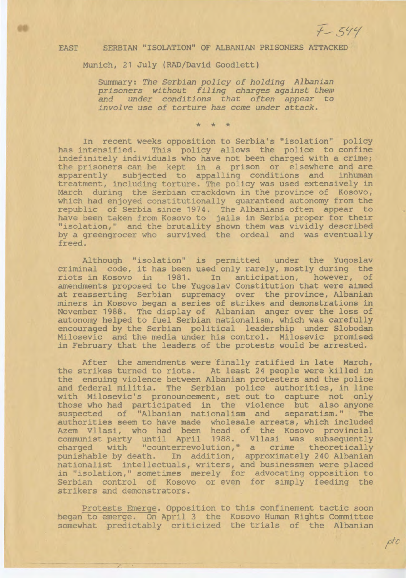$\rho t c$ 

#### EAST SERBIAN "ISOLATION" OF ALBANIAN PRISONERS ATTACKED

#### Munich, 21 July (RAD/David Goodlett)

Summary: *The Serbian policy of holding Albanian prisoners without filing charges against them and under conditions that often appear to involve use of torture has come under attack.* 

\* \* \*

In recent weeks opposition to Serbia's "isolation" policy has intensified. This policy allows the police to confine indefinitely individuals who have not been charged with a crime; the prisoners can be kept in a prison or elsewhere and are apparently subjected to appalling conditions and inhuman treatment, including torture. The policy was used extensively in March during the Serbian crackdown in the province of Kosovo, which had enjoyed constitutionally guaranteed autonomy from the republic of Serbia since 1974. The Albanians often appear to have been taken from Kosovo to jails in Serbia proper for their "isolation," and the brutality shown them was vividly described by a greengrocer who survived the ordeal and was eventually freed.

Although "isolation" is permitted under the Yugoslav criminal code, it has been used only rarely, mostly during the riots in Kosovo in 1981. In anticipation, however, of amendments proposed to the Yugoslav Constitution that were aimed at reasserting Serbian supremacy over the province, Albanian miners in Kosovo began a series of strikes and demonstrations in November 1988. The display of Albanian anger over the loss of autonomy helped to fuel Serbian nationalism, which was carefully encouraged by the Serbian political leadership under Slobodan Milosevic and the media under his control. Milosevic promised *in* February that the leaders of the protests would be arrested.

After the amendments were finally ratified in late March, the strikes turned to riots. At least 24 people were killed in the ensuing violence between Albanian protesters and the police and federal militia. The Serbian police authorities, in line with Milosevic's pronouncement, set out to capture not only those who had participated in the violence but also anyone suspected of "Albanian nationalism and separatism." The authorities seem to have made wholesale arrests, which included Azem Vllasi, who had been head of the Kosovo provincial communist party until April 1988. Vllasi was subsequently charged with "counterrevolution," a crime theoretically punishable by death. In addition, approximately 240 Albanian nationalist intellectuals, writers, and businessmen were placed in "isolation," sometimes merely for advocating opposition to Serbian control of Kosovo or even for simply feeding the strikers and demonstrators.

Protests Emerge. Opposition to this confinement tactic soon began to emerge. On April 3 the Kosovo Human Rights Committee somewhat predictably criticized the trials of the Albanian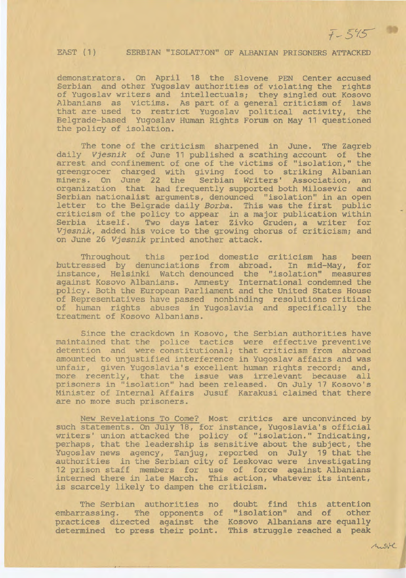$A.84C$ 

### EAST (1) SERBIAN "ISOLATION" OF ALBANIAN PRISONERS ATTACKED

demonstrators. On April 18 the Slovene PEN Center accused Serbian and other Yugoslav authorities of violating the rights of Yugoslav writers and intellectuals; they singled out Kosovo Albanians as victims. As part of a general criticism of laws that are used to restrict Yugoslav political activity, the Belgrade-based Yugoslav Human Rights Forum on May 11 questioned the policy of isolation.

The tone of the criticism sharpened in June. The Zagreb daily *Vjesnik* of June 11 published a scathing account of the arrest and confinement of one of the victims of "isolation," the greengrocer charged with giving food to striking Albanian miners. On June 22 the Serbian Writers' Association, an organization that had frequently supported both Milosevic and Serbian nationalist arguments, denounced "isolation" in an open letter to the Belgrade daily *Borba.* This was the first public criticism of the policy to appear in a major publication within Serbia itself. Two days later Zivko Gruden, a writer for *Vjesnik,* added his voice to the growing chorus of criticism; and on June 26 *Vjesnik* printed another attack.

Throughout this period domestic criticism has been buttressed by denunciations from abroad. In mid-May, for instance, Helsinki Watch denounced the "isolation" measures against Kosovo Albanians. Amnesty International condemned the policy. Both the European Parliament and the United States House of Representatives have passed nonbinding resolutions critical of human rights abuses in Yugoslavia and specifically the treatment of Kosovo Albanians.

Since the crackdown in Kosovo, the Serbian authorities have maintained that the police tactics were effective preventive detention and were constitutional; that criticism from abroad amounted to unjustified interference in Yugoslav affairs and was unfair, given Yugoslavia's excellent human rights record; and, more recently, that the issue was irrelevant because all prisoners in "isolation" had been released. On July 17 Kosovo's Minister of Internal Affairs Jusuf Karakusi claimed that there are no more such prisoners.

New Revelations To Come? Most critics are unconvinced by such statements. On July 18, for instance, Yugoslavia's official writers' union attacked the policy of "isolation." Indicating, perhaps, that the leadership is sensitive about the subject, the Yugoslav news agency, Tanjug, reported on July 19 that the authorities in the Serbian city of Leskovac were investigating 12 prison staff members for use of force against Albanians interned there in late March. This action, whatever its intent, is scarcely likely to dampen the criticism.

The Serbian authorities no doubt find this attention embarrassing. The opponents of "isolation" and of other practices directed against the Kosovo Albanians are equally determined to press their point. This struggle reached a peak